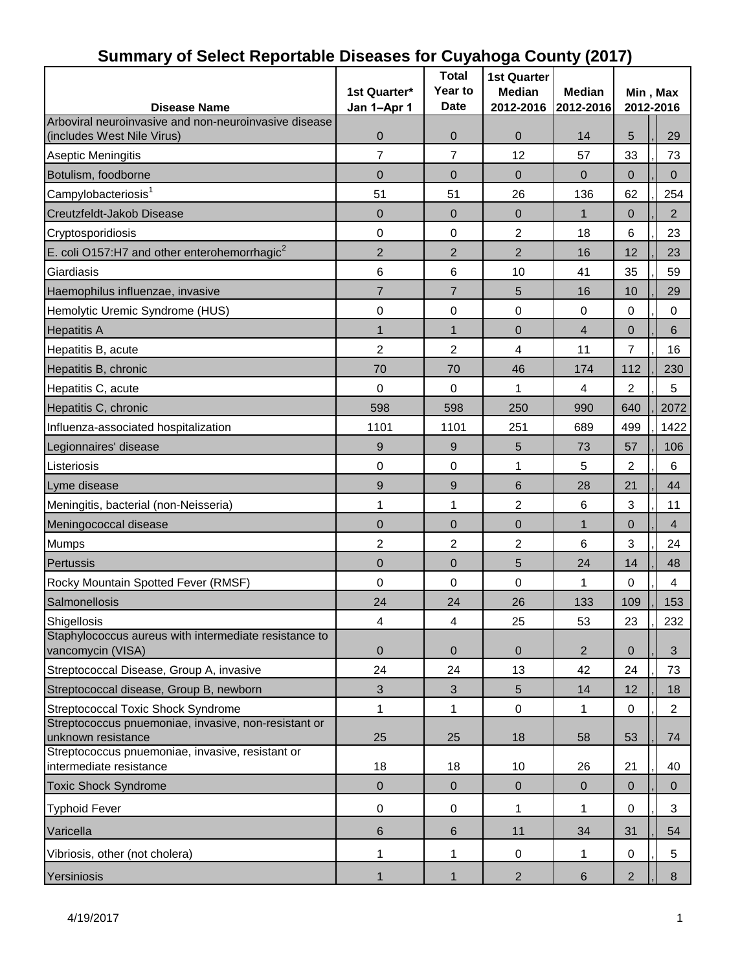| -- ---------- <b>--------</b><br><b>Disease Name</b>                        | 1st Quarter*<br>Jan 1-Apr 1 | <b>Total</b><br>Year to<br><b>Date</b> | <b>1st Quarter</b><br><b>Median</b><br>2012-2016 | <b>Median</b><br>2012-2016 | Min, Max<br>2012-2016 |                |  |
|-----------------------------------------------------------------------------|-----------------------------|----------------------------------------|--------------------------------------------------|----------------------------|-----------------------|----------------|--|
| Arboviral neuroinvasive and non-neuroinvasive disease                       |                             |                                        |                                                  |                            |                       |                |  |
| (includes West Nile Virus)                                                  | 0                           | $\pmb{0}$                              | $\mathbf 0$                                      | 14                         | 5                     | 29             |  |
| Aseptic Meningitis                                                          | $\overline{7}$              | $\overline{7}$                         | 12                                               | 57                         | 33                    | 73             |  |
| Botulism, foodborne                                                         | $\mathbf{0}$                | 0                                      | $\Omega$                                         | $\mathbf 0$                | 0                     | $\Omega$       |  |
| Campylobacteriosis <sup>1</sup>                                             | 51                          | 51                                     | 26                                               | 136                        | 62                    | 254            |  |
| Creutzfeldt-Jakob Disease                                                   | $\overline{0}$              | $\overline{0}$                         | $\overline{0}$                                   | $\mathbf{1}$               | $\mathbf 0$           | $\overline{2}$ |  |
| Cryptosporidiosis                                                           | 0                           | 0                                      | $\overline{2}$                                   | 18                         | 6                     | 23             |  |
| E. coli O157:H7 and other enterohemorrhagic <sup>2</sup>                    | $\overline{2}$              | $\overline{2}$                         | $\overline{2}$                                   | 16                         | 12                    | 23             |  |
| Giardiasis                                                                  | 6                           | 6                                      | 10                                               | 41                         | 35                    | 59             |  |
| Haemophilus influenzae, invasive                                            | $\overline{7}$              | $\overline{7}$                         | 5                                                | 16                         | 10                    | 29             |  |
| Hemolytic Uremic Syndrome (HUS)                                             | 0                           | $\boldsymbol{0}$                       | $\mathbf 0$                                      | $\mathbf 0$                | $\mathbf 0$           | $\pmb{0}$      |  |
| <b>Hepatitis A</b>                                                          | $\mathbf{1}$                | $\mathbf{1}$                           | $\overline{0}$                                   | $\overline{4}$             | $\mathbf{0}$          | $\,6$          |  |
| Hepatitis B, acute                                                          | 2                           | $\overline{2}$                         | 4                                                | 11                         | $\overline{7}$        | 16             |  |
| Hepatitis B, chronic                                                        | 70                          | 70                                     | 46                                               | 174                        | 112                   | 230            |  |
| Hepatitis C, acute                                                          | 0                           | $\mathbf 0$                            | 1                                                | 4                          | 2                     | 5              |  |
| Hepatitis C, chronic                                                        | 598                         | 598                                    | 250                                              | 990                        | 640                   | 2072           |  |
| Influenza-associated hospitalization                                        | 1101                        | 1101                                   | 251                                              | 689                        | 499                   | 1422           |  |
| Legionnaires' disease                                                       | 9                           | 9                                      | 5                                                | 73                         | 57                    | 106            |  |
| Listeriosis                                                                 | 0                           | $\mathbf 0$                            | 1                                                | 5                          | 2                     | 6              |  |
| Lyme disease                                                                | $\boldsymbol{9}$            | 9                                      | 6                                                | 28                         | 21                    | 44             |  |
| Meningitis, bacterial (non-Neisseria)                                       | 1                           | $\mathbf{1}$                           | $\overline{c}$                                   | $\,6$                      | 3                     | 11             |  |
| Meningococcal disease                                                       | $\mathbf 0$                 | $\mathbf 0$                            | $\mathbf 0$                                      | $\mathbf{1}$               | $\overline{0}$        | $\overline{4}$ |  |
|                                                                             | 2                           | $\overline{2}$                         | $\overline{2}$                                   | $\,6$                      | 3                     | 24             |  |
| <b>Mumps</b>                                                                |                             |                                        |                                                  |                            |                       |                |  |
| Pertussis                                                                   | $\mathbf 0$                 | $\mathbf 0$                            | 5                                                | 24                         | 14                    | 48             |  |
| Rocky Mountain Spotted Fever (RMSF)                                         | 0                           | 0                                      | $\mathbf 0$                                      | 1                          | $\mathbf 0$           | $\overline{4}$ |  |
| Salmonellosis                                                               | 24                          | 24                                     | 26                                               | 133                        | 109                   | 153            |  |
| Shigellosis<br>Staphylococcus aureus with intermediate resistance to        | 4                           | 4                                      | 25                                               | 53                         | 23                    | 232            |  |
| vancomycin (VISA)                                                           | $\pmb{0}$                   | $\pmb{0}$                              | $\pmb{0}$                                        | $\overline{2}$             | $\mathbf{0}$          | 3              |  |
| Streptococcal Disease, Group A, invasive                                    | 24                          | 24                                     | 13                                               | 42                         | 24                    | 73             |  |
| Streptococcal disease, Group B, newborn                                     | $\sqrt{3}$                  | $\sqrt{3}$                             | 5                                                | 14                         | 12                    | 18             |  |
| Streptococcal Toxic Shock Syndrome                                          | 1                           | 1                                      | $\mathbf 0$                                      | 1                          | 0                     | $\overline{2}$ |  |
| Streptococcus pnuemoniae, invasive, non-resistant or                        |                             |                                        |                                                  |                            |                       |                |  |
| unknown resistance                                                          | 25                          | 25                                     | 18                                               | 58                         | 53                    | 74             |  |
| Streptococcus pnuemoniae, invasive, resistant or<br>intermediate resistance | 18                          | 18                                     | 10                                               | 26                         | 21                    | 40             |  |
| <b>Toxic Shock Syndrome</b>                                                 | $\mathbf 0$                 | $\mathbf 0$                            | $\overline{0}$                                   | $\mathbf 0$                | $\mathbf{0}$          | $\overline{0}$ |  |
| <b>Typhoid Fever</b>                                                        | $\pmb{0}$                   | 0                                      | 1                                                | 1                          | 0                     | 3              |  |
| Varicella                                                                   | $\,6$                       | $\,6$                                  | 11                                               | 34                         | 31                    | 54             |  |
| Vibriosis, other (not cholera)                                              | 1                           | 1                                      | $\pmb{0}$                                        | 1                          | 0                     | 5              |  |
| Yersiniosis                                                                 | $\mathbf{1}$                | $\mathbf{1}$                           | $\overline{2}$                                   | $6\,$                      | $\overline{2}$        | 8              |  |

#### **Summary of Select Reportable Diseases for Cuyahoga County (2017)**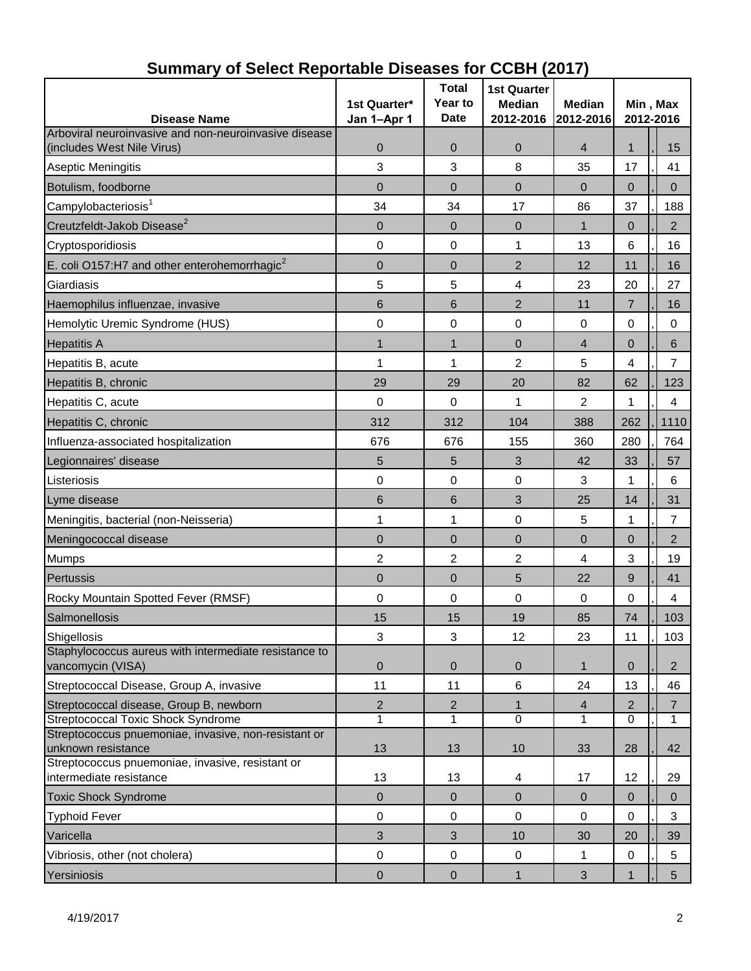| <b>Disease Name</b>                                                         | 1st Quarter*<br>Jan 1-Apr 1 | <b>Total</b><br>Year to<br><b>Date</b> | <b>1st Quarter</b><br><b>Median</b><br>2012-2016 | Median<br>2012-2016 | Min, Max<br>2012-2016 |                |  |
|-----------------------------------------------------------------------------|-----------------------------|----------------------------------------|--------------------------------------------------|---------------------|-----------------------|----------------|--|
| Arboviral neuroinvasive and non-neuroinvasive disease                       |                             |                                        |                                                  |                     |                       |                |  |
| (includes West Nile Virus)                                                  | 0                           | 0                                      | $\mathbf 0$                                      | 4                   | 1                     | 15             |  |
| <b>Aseptic Meningitis</b>                                                   | 3                           | 3                                      | 8                                                | 35                  | 17                    | 41             |  |
| Botulism, foodborne                                                         | $\overline{0}$              | $\overline{0}$                         | $\overline{0}$                                   | $\mathbf{0}$        | $\overline{0}$        | $\mathbf 0$    |  |
| Campylobacteriosis <sup>1</sup>                                             | 34                          | 34                                     | 17                                               | 86                  | 37                    | 188            |  |
| Creutzfeldt-Jakob Disease <sup>2</sup>                                      | 0                           | $\mathbf{0}$                           | $\mathbf{0}$                                     | 1                   | $\mathbf 0$           | $\overline{2}$ |  |
| Cryptosporidiosis                                                           | $\pmb{0}$                   | $\mathbf 0$                            | 1                                                | 13                  | 6                     | 16             |  |
| E. coli O157:H7 and other enterohemorrhagic <sup>2</sup>                    | 0                           | $\overline{0}$                         | $\overline{2}$                                   | 12                  | 11                    | 16             |  |
| Giardiasis                                                                  | 5                           | 5                                      | $\overline{\mathcal{A}}$                         | 23                  | 20                    | 27             |  |
| Haemophilus influenzae, invasive                                            | 6                           | 6                                      | $\overline{2}$                                   | 11                  | $\overline{7}$        | 16             |  |
| Hemolytic Uremic Syndrome (HUS)                                             | $\mathbf 0$                 | 0                                      | 0                                                | $\mathbf 0$         | 0                     | $\mathbf 0$    |  |
| <b>Hepatitis A</b>                                                          | 1                           | $\mathbf{1}$                           | $\overline{0}$                                   | 4                   | $\overline{0}$        | $\,6$          |  |
| Hepatitis B, acute                                                          | 1                           | 1                                      | $\overline{2}$                                   | 5                   | 4                     | $\overline{7}$ |  |
| Hepatitis B, chronic                                                        | 29                          | 29                                     | 20                                               | 82                  | 62                    | 123            |  |
| Hepatitis C, acute                                                          | 0                           | $\boldsymbol{0}$                       | 1                                                | 2                   | 1                     | 4              |  |
| Hepatitis C, chronic                                                        | 312                         | 312                                    | 104                                              | 388                 | 262                   | 1110           |  |
| Influenza-associated hospitalization                                        | 676                         | 676                                    | 155                                              | 360                 | 280                   | 764            |  |
| Legionnaires' disease                                                       | 5                           | 5                                      | 3                                                | 42                  | 33                    | 57             |  |
| Listeriosis                                                                 | $\mathbf 0$                 | $\mathbf 0$                            | 0                                                | 3                   | 1                     | 6              |  |
| Lyme disease                                                                | 6                           | 6                                      | 3                                                | 25                  | 14                    | 31             |  |
| Meningitis, bacterial (non-Neisseria)                                       | 1                           | 1                                      | 0                                                | 5                   | 1                     | $\overline{7}$ |  |
| Meningococcal disease                                                       | $\overline{0}$              | $\overline{0}$                         | $\mathbf 0$                                      | $\overline{0}$      | $\overline{0}$        | $\overline{2}$ |  |
| <b>Mumps</b>                                                                | 2                           | 2                                      | $\overline{2}$                                   | 4                   | 3                     | 19             |  |
| Pertussis                                                                   | 0                           | 0                                      | 5                                                | 22                  | 9                     | 41             |  |
| Rocky Mountain Spotted Fever (RMSF)                                         | $\mathbf 0$                 | $\mathbf 0$                            | $\mathbf 0$                                      | 0                   | 0                     | 4              |  |
| Salmonellosis                                                               | 15                          | 15                                     | 19                                               | 85                  | 74                    | 103            |  |
| Shigellosis                                                                 | 3                           | 3                                      | 12                                               | 23                  | 11                    | 103            |  |
| Staphylococcus aureus with intermediate resistance to<br>vancomycin (VISA)  | $\mathbf 0$                 | $\mathbf 0$                            | $\mathbf 0$                                      | 1                   | $\overline{0}$        | $\overline{2}$ |  |
| Streptococcal Disease, Group A, invasive                                    | 11                          | 11                                     | $\,6$                                            | 24                  | 13                    | 46             |  |
| Streptococcal disease, Group B, newborn                                     | $\overline{2}$              | $\overline{2}$                         | $\mathbf{1}$                                     | $\overline{4}$      | 2                     | $\overline{7}$ |  |
| <b>Streptococcal Toxic Shock Syndrome</b>                                   | 1                           | 1                                      | $\mathbf 0$                                      | 1                   | 0                     | $\mathbf{1}$   |  |
| Streptococcus pnuemoniae, invasive, non-resistant or<br>unknown resistance  | 13                          | 13                                     | 10                                               | 33                  | 28                    | 42             |  |
| Streptococcus pnuemoniae, invasive, resistant or<br>intermediate resistance | 13                          | 13                                     | 4                                                | 17                  | 12                    | 29             |  |
| <b>Toxic Shock Syndrome</b>                                                 | $\mathbf 0$                 | $\mathbf{0}$                           | $\mathbf 0$                                      | $\mathbf{0}$        | $\mathbf{0}$          | $\mathbf{0}$   |  |
| <b>Typhoid Fever</b>                                                        | $\pmb{0}$                   | 0                                      | $\pmb{0}$                                        | 0                   | 0                     | 3              |  |
| Varicella                                                                   | 3                           | $\mathfrak{S}$                         | 10                                               | 30                  | 20                    | 39             |  |
| Vibriosis, other (not cholera)                                              | $\pmb{0}$                   | $\boldsymbol{0}$                       | 0                                                | 1                   | 0                     | 5              |  |
| Yersiniosis                                                                 | $\pmb{0}$                   | $\boldsymbol{0}$                       | $\mathbf{1}$                                     | $\mathfrak{S}$      | 1                     | 5 <sup>5</sup> |  |

# **Summary of Select Reportable Diseases for CCBH (2017)**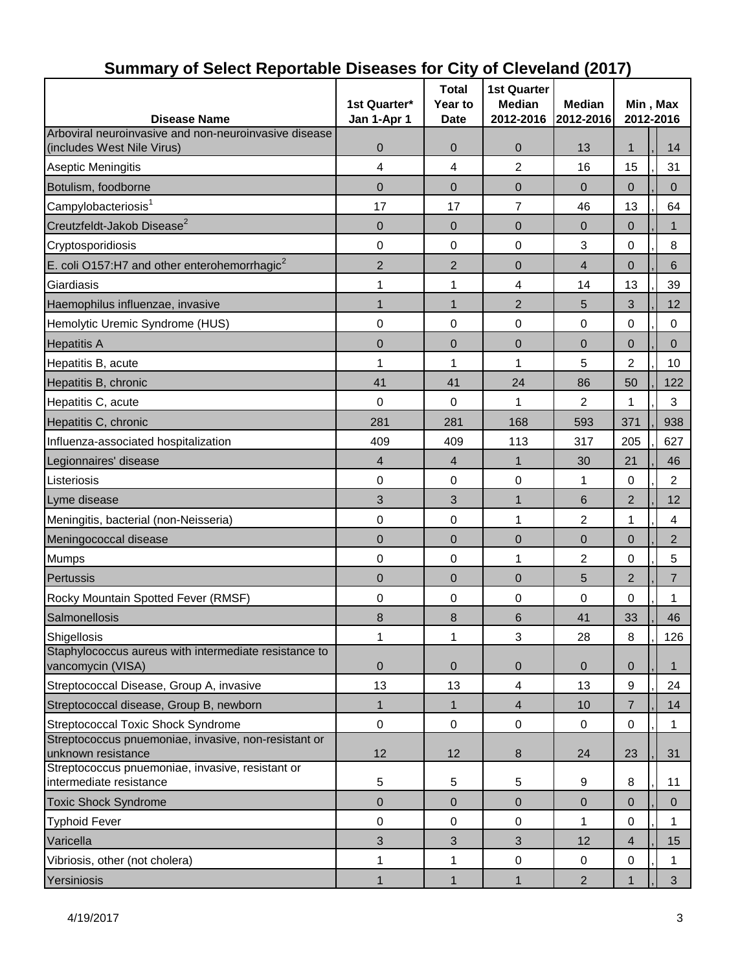| <b>Disease Name</b>                                                         | 1st Quarter*<br>Jan 1-Apr 1 | <b>Total</b><br>Year to<br><b>Date</b> | <b>1st Quarter</b><br><b>Median</b><br>2012-2016 | <b>Median</b><br>2012-2016 | Min, Max<br>2012-2016 |                |  |
|-----------------------------------------------------------------------------|-----------------------------|----------------------------------------|--------------------------------------------------|----------------------------|-----------------------|----------------|--|
| Arboviral neuroinvasive and non-neuroinvasive disease                       |                             |                                        |                                                  |                            |                       |                |  |
| (includes West Nile Virus)                                                  | 0                           | 0                                      | $\pmb{0}$                                        | 13                         | 1                     | 14             |  |
| Aseptic Meningitis                                                          | 4                           | 4                                      | 2                                                | 16                         | 15                    | 31             |  |
| Botulism, foodborne                                                         | 0                           | 0                                      | 0                                                | $\mathbf 0$                | 0                     | $\mathbf{0}$   |  |
| Campylobacteriosis <sup>1</sup>                                             | 17                          | 17                                     | $\overline{7}$                                   | 46                         | 13                    | 64             |  |
| Creutzfeldt-Jakob Disease <sup>2</sup>                                      | 0                           | $\mathbf 0$                            | $\mathbf 0$                                      | $\overline{0}$             | $\mathbf{0}$          | 1              |  |
| Cryptosporidiosis                                                           | 0                           | 0                                      | 0                                                | 3                          | 0                     | 8              |  |
| E. coli O157:H7 and other enterohemorrhagic <sup>2</sup>                    | $\overline{2}$              | $\overline{2}$                         | $\mathbf 0$                                      | $\overline{4}$             | $\overline{0}$        | $\,6$          |  |
| Giardiasis                                                                  | 1                           | $\mathbf 1$                            | 4                                                | 14                         | 13                    | 39             |  |
| Haemophilus influenzae, invasive                                            | $\mathbf{1}$                | $\mathbf{1}$                           | 2                                                | 5                          | 3                     | 12             |  |
| Hemolytic Uremic Syndrome (HUS)                                             | 0                           | $\boldsymbol{0}$                       | $\mathbf 0$                                      | 0                          | 0                     | 0              |  |
| <b>Hepatitis A</b>                                                          | $\overline{0}$              | 0                                      | $\overline{0}$                                   | $\overline{0}$             | $\mathbf{0}$          | $\pmb{0}$      |  |
| Hepatitis B, acute                                                          | 1                           | 1                                      | 1                                                | 5                          | 2                     | 10             |  |
| Hepatitis B, chronic                                                        | 41                          | 41                                     | 24                                               | 86                         | 50                    | 122            |  |
| Hepatitis C, acute                                                          | 0                           | $\mathbf 0$                            | 1                                                | 2                          | 1                     | 3              |  |
| Hepatitis C, chronic                                                        | 281                         | 281                                    | 168                                              | 593                        | 371                   | 938            |  |
| Influenza-associated hospitalization                                        | 409                         | 409                                    | 113                                              | 317                        | 205                   | 627            |  |
| Legionnaires' disease                                                       | 4                           | $\overline{4}$                         | $\mathbf{1}$                                     | 30                         | 21                    | 46             |  |
| Listeriosis                                                                 | 0                           | $\mathbf 0$                            | 0                                                | 1                          | $\mathbf 0$           | $\overline{2}$ |  |
| Lyme disease                                                                | 3                           | 3                                      | $\mathbf{1}$                                     | 6                          | $\overline{2}$        | 12             |  |
| Meningitis, bacterial (non-Neisseria)                                       | 0                           | 0                                      | 1                                                | 2                          | 1                     | 4              |  |
| Meningococcal disease                                                       | 0                           | 0                                      | $\mathbf 0$                                      | 0                          | 0                     | $\overline{2}$ |  |
| Mumps                                                                       | 0                           | $\boldsymbol{0}$                       | 1                                                | 2                          | 0                     | 5              |  |
| Pertussis                                                                   | $\overline{0}$              | 0                                      | $\overline{0}$                                   | 5                          | $\overline{2}$        | $\overline{7}$ |  |
| Rocky Mountain Spotted Fever (RMSF)                                         | 0                           | $\boldsymbol{0}$                       | 0                                                | 0                          | 0                     | 1              |  |
| Salmonellosis                                                               | 8                           | 8                                      | 6                                                | 41                         | 33                    | 46             |  |
| Shigellosis                                                                 | 1                           | 1                                      | 3                                                | 28                         | $\,8\,$               | 126            |  |
| Staphylococcus aureus with intermediate resistance to<br>vancomycin (VISA)  | 0                           | $\mathbf 0$                            | $\mathbf 0$                                      | $\mathbf 0$                | $\mathbf 0$           | $\mathbf 1$    |  |
| Streptococcal Disease, Group A, invasive                                    | 13                          | 13                                     | $\overline{4}$                                   | 13                         | 9                     | 24             |  |
| Streptococcal disease, Group B, newborn                                     | $\mathbf{1}$                | $\mathbf{1}$                           | $\overline{4}$                                   | 10                         | $\overline{7}$        | 14             |  |
| Streptococcal Toxic Shock Syndrome                                          | $\pmb{0}$                   | $\boldsymbol{0}$                       | $\pmb{0}$                                        | 0                          | 0                     | $\mathbf 1$    |  |
| Streptococcus pnuemoniae, invasive, non-resistant or<br>unknown resistance  | 12                          | 12                                     | $\bf 8$                                          | 24                         | 23                    | 31             |  |
| Streptococcus pnuemoniae, invasive, resistant or<br>intermediate resistance | 5                           | 5                                      | 5                                                | 9                          | 8                     | 11             |  |
| <b>Toxic Shock Syndrome</b>                                                 | $\mathbf 0$                 | $\mathbf 0$                            | $\mathbf 0$                                      | $\overline{0}$             | $\mathbf{0}$          | $\mathbf 0$    |  |
| <b>Typhoid Fever</b>                                                        | 0                           | 0                                      | 0                                                | 1                          | 0                     | 1              |  |
| Varicella                                                                   | 3                           | 3                                      | 3                                                | 12                         | $\overline{4}$        | 15             |  |
| Vibriosis, other (not cholera)                                              | 1                           | 1                                      | $\pmb{0}$                                        | $\mathbf 0$                | $\boldsymbol{0}$      | $\mathbf 1$    |  |
| Yersiniosis                                                                 | 1                           | $\mathbf{1}$                           | 1                                                | $\overline{2}$             | 1                     | 3 <sup>1</sup> |  |

## **Summary of Select Reportable Diseases for City of Cleveland (2017)**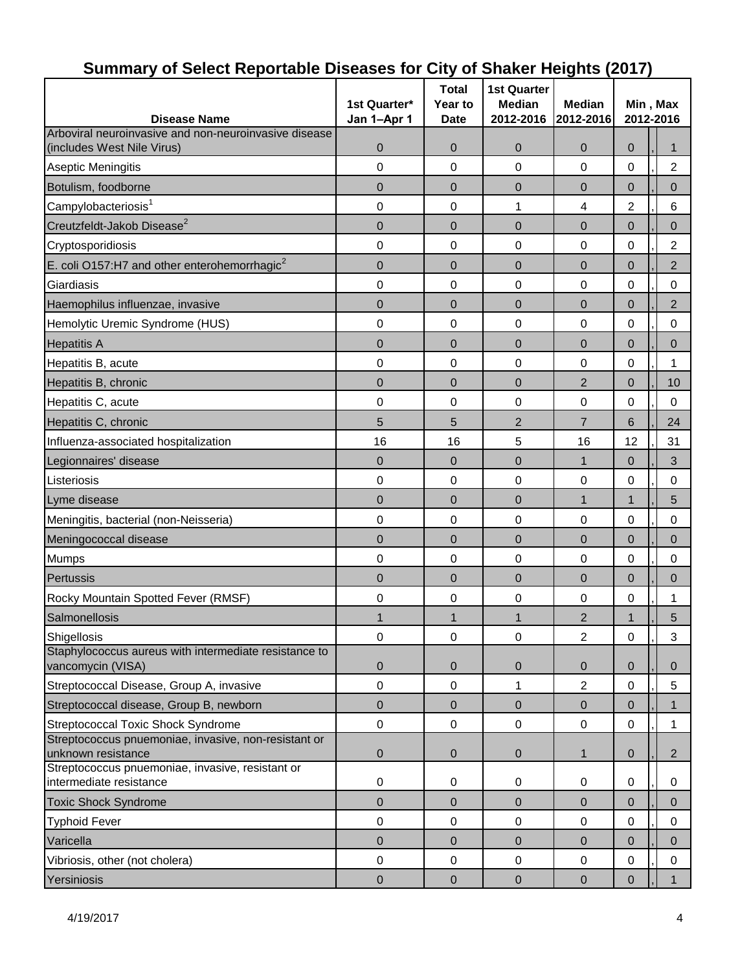| -----<br>- - -----                                                          |                  |                         |                                     |                            |                       |  |                |
|-----------------------------------------------------------------------------|------------------|-------------------------|-------------------------------------|----------------------------|-----------------------|--|----------------|
| <b>Disease Name</b>                                                         | 1st Quarter*     | <b>Total</b><br>Year to | <b>1st Quarter</b><br><b>Median</b> | <b>Median</b><br>2012-2016 | Min, Max<br>2012-2016 |  |                |
| Arboviral neuroinvasive and non-neuroinvasive disease                       | Jan 1-Apr 1      | <b>Date</b>             | 2012-2016                           |                            |                       |  |                |
| (includes West Nile Virus)                                                  | $\boldsymbol{0}$ | 0                       | 0                                   | $\mathbf 0$                | 0                     |  | 1              |
| <b>Aseptic Meningitis</b>                                                   | 0                | 0                       | $\mathbf 0$                         | 0                          | 0                     |  | $\overline{c}$ |
| Botulism, foodborne                                                         | $\overline{0}$   | $\overline{0}$          | $\overline{0}$                      | $\overline{0}$             | $\overline{0}$        |  | $\overline{0}$ |
| Campylobacteriosis <sup>1</sup>                                             | 0                | 0                       | 1                                   | $\overline{4}$             | $\overline{2}$        |  | 6              |
| Creutzfeldt-Jakob Disease <sup>2</sup>                                      | 0                | $\mathbf 0$             | 0                                   | $\overline{0}$             | $\pmb{0}$             |  | 0              |
| Cryptosporidiosis                                                           | 0                | 0                       | 0                                   | 0                          | 0                     |  | $\overline{c}$ |
| E. coli O157:H7 and other enterohemorrhagic <sup>2</sup>                    | $\mathbf 0$      | $\mathbf 0$             | $\mathbf 0$                         | $\overline{0}$             | $\mathbf 0$           |  | $\overline{2}$ |
| Giardiasis                                                                  | 0                | 0                       | 0                                   | 0                          | 0                     |  | $\pmb{0}$      |
| Haemophilus influenzae, invasive                                            | $\overline{0}$   | 0                       | $\overline{0}$                      | $\overline{0}$             | $\overline{0}$        |  | $\overline{2}$ |
| Hemolytic Uremic Syndrome (HUS)                                             | 0                | 0                       | 0                                   | 0                          | 0                     |  | 0              |
| <b>Hepatitis A</b>                                                          | $\mathbf 0$      | 0                       | $\overline{0}$                      | $\overline{0}$             | $\pmb{0}$             |  | 0              |
| Hepatitis B, acute                                                          | 0                | 0                       | 0                                   | 0                          | 0                     |  | 1              |
| Hepatitis B, chronic                                                        | $\mathbf 0$      | $\mathbf 0$             | $\mathbf 0$                         | $\overline{2}$             | $\mathbf 0$           |  | 10             |
| Hepatitis C, acute                                                          | 0                | 0                       | $\pmb{0}$                           | 0                          | 0                     |  | $\mathbf 0$    |
| Hepatitis C, chronic                                                        | 5                | 5                       | $\overline{2}$                      | $\overline{7}$             | 6                     |  | 24             |
| Influenza-associated hospitalization                                        | 16               | 16                      | 5                                   | 16                         | 12                    |  | 31             |
| Legionnaires' disease                                                       | $\overline{0}$   | $\mathbf 0$             | $\mathbf 0$                         | $\mathbf 1$                | $\pmb{0}$             |  | 3              |
| Listeriosis                                                                 | 0                | 0                       | 0                                   | 0                          | 0                     |  | $\mathbf 0$    |
| Lyme disease                                                                | $\mathbf 0$      | $\overline{0}$          | $\overline{0}$                      | $\mathbf{1}$               | $\mathbf{1}$          |  | 5              |
| Meningitis, bacterial (non-Neisseria)                                       | 0                | 0                       | 0                                   | 0                          | 0                     |  | $\pmb{0}$      |
| Meningococcal disease                                                       | $\overline{0}$   | $\overline{0}$          | $\overline{0}$                      | $\overline{0}$             | $\overline{0}$        |  | $\overline{0}$ |
| <b>Mumps</b>                                                                | 0                | 0                       | 0                                   | 0                          | $\mathsf 0$           |  | 0              |
| Pertussis                                                                   | $\overline{0}$   | 0                       | $\overline{0}$                      | $\mathbf 0$                | $\mathbf{0}$          |  | $\overline{0}$ |
| Rocky Mountain Spotted Fever (RMSF)                                         | 0                | 0                       | 0                                   | 0                          | 0                     |  | 1              |
| Salmonellosis                                                               | 1                | $\mathbf{1}$            | $\mathbf{1}$                        | $\overline{2}$             | $\mathbf{1}$          |  | 5              |
| Shigellosis                                                                 | $\mathbf 0$      | $\boldsymbol{0}$        | $\pmb{0}$                           | $\overline{2}$             | $\mathsf 0$           |  | 3              |
| Staphylococcus aureus with intermediate resistance to<br>vancomycin (VISA)  | $\mathbf 0$      | 0                       | $\mathbf 0$                         | $\mathbf 0$                | $\mathbf 0$           |  | $\overline{0}$ |
| Streptococcal Disease, Group A, invasive                                    | $\pmb{0}$        | $\boldsymbol{0}$        | 1                                   | $\overline{2}$             | $\mathbf 0$           |  | 5              |
| Streptococcal disease, Group B, newborn                                     | $\mathsf 0$      | $\pmb{0}$               | $\pmb{0}$                           | $\mathbf{0}$               | $\pmb{0}$             |  | $\mathbf{1}$   |
| Streptococcal Toxic Shock Syndrome                                          | 0                | $\boldsymbol{0}$        | $\mathbf 0$                         | 0                          | 0                     |  | 1              |
| Streptococcus pnuemoniae, invasive, non-resistant or<br>unknown resistance  | 0                | 0                       | $\mathbf 0$                         | 1                          | $\mathbf 0$           |  | $\overline{2}$ |
| Streptococcus pnuemoniae, invasive, resistant or<br>intermediate resistance | 0                | 0                       | 0                                   | 0                          | 0                     |  | $\mathbf 0$    |
| <b>Toxic Shock Syndrome</b>                                                 | $\overline{0}$   | $\mathbf 0$             | $\overline{0}$                      | $\mathbf 0$                | $\mathbf 0$           |  | $\pmb{0}$      |
| <b>Typhoid Fever</b>                                                        | $\pmb{0}$        | $\boldsymbol{0}$        | $\mathbf 0$                         | 0                          | 0                     |  | 0              |
| Varicella                                                                   | $\mathsf 0$      | 0                       | 0                                   | $\overline{0}$             | $\pmb{0}$             |  | $\pmb{0}$      |
| Vibriosis, other (not cholera)                                              | $\pmb{0}$        | $\boldsymbol{0}$        | $\pmb{0}$                           | $\pmb{0}$                  | $\mathsf 0$           |  | $\mathbf 0$    |
| Yersiniosis                                                                 | $\pmb{0}$        | $\boldsymbol{0}$        | $\pmb{0}$                           | $\pmb{0}$                  | $\pmb{0}$             |  | $\mathbf{1}$   |

### **Summary of Select Reportable Diseases for City of Shaker Heights (2017)**